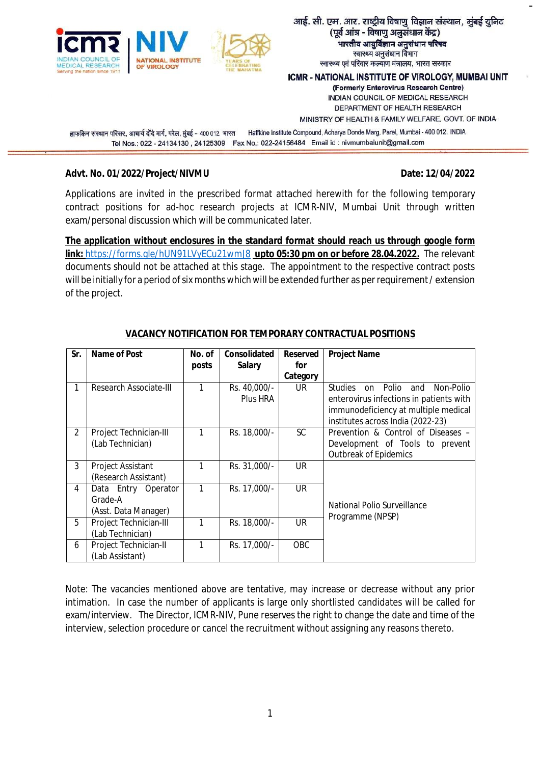

#### आई. सी. एम. आर. राष्ट्रीय विषाणु विज्ञान संस्थान, मुंबई युनिट (पूर्व आंत्र - विषाणु अनुसंधान केंद्र) भारतीय आयुर्विज्ञान अनुसंधान परिषद स्वास्थ्य अनुसंधान विभाग स्वास्थ्य एवं परिवार कल्याण मंत्रालय, भारत सरकार

ICMR - NATIONAL INSTITUTE OF VIROLOGY, MUMBAI UNIT (Formerly Enterovirus Research Centre) INDIAN COUNCIL OF MEDICAL RESEARCH DEPARTMENT OF HEALTH RESEARCH

MINISTRY OF HEALTH & FAMILY WELFARE, GOVT. OF INDIA

हाफकिन संस्थान परिसर, आचार्य दोंदे मार्ग, परेल, मुंबई - 400 012, भारत Haffkine Institute Compound, Acharya Donde Marg, Parel, Mumbai - 400 012. INDIA Tel Nos.: 022 - 24134130, 24125309 Fax No.: 022-24156484 Email id: nivmumbaiunit@gmail.com

#### Advt. No. 01/2022/Project/NIVMU **Date: 12/04/2022**

Applications are invited in the prescribed format attached herewith for the following temporary contract positions for ad-hoc research projects at ICMR-NIV, Mumbai Unit through written exam/personal discussion which will be communicated later.

**The application without enclosures in the standard format should reach us through google form link:** <https://forms.gle/hUN91LVyECu21wmJ8> **upto 05:30 pm on or before 28.04.2022.** The relevant documents should not be attached at this stage. The appointment to the respective contract posts will be initially for a period of six months which will be extended further as per requirement/ extension of the project.

| Sr. | Name of Post                                           | No. of | Consolidated             | <b>Reserved</b> | <b>Project Name</b>                                                                                                                                                       |
|-----|--------------------------------------------------------|--------|--------------------------|-----------------|---------------------------------------------------------------------------------------------------------------------------------------------------------------------------|
|     |                                                        | posts  | <b>Salary</b>            | for             |                                                                                                                                                                           |
|     |                                                        |        |                          | Category        |                                                                                                                                                                           |
|     | Research Associate-III                                 | 1      | Rs. 40,000/-<br>Plus HRA | UR.             | Polio<br>Non-Polio<br><b>Studies</b><br>and<br>on<br>enterovirus infections in patients with<br>immunodeficiency at multiple medical<br>institutes across India (2022-23) |
| 2   | Project Technician-III<br>(Lab Technician)             | 1      | Rs. 18,000/-             | <b>SC</b>       | Prevention & Control of Diseases -<br>Development of Tools to prevent<br><b>Outbreak of Epidemics</b>                                                                     |
| 3   | Project Assistant<br>(Research Assistant)              |        | Rs. 31,000/-             | <b>UR</b>       |                                                                                                                                                                           |
| 4   | Data Entry Operator<br>Grade-A<br>(Asst. Data Manager) | 1      | Rs. 17.000/-             | UR.             | National Polio Surveillance                                                                                                                                               |
| 5   | Project Technician-III<br>(Lab Technician)             | 1      | Rs. 18,000/-             | <b>UR</b>       | Programme (NPSP)                                                                                                                                                          |
| 6   | Project Technician-II<br>(Lab Assistant)               | 1      | Rs. 17,000/-             | <b>OBC</b>      |                                                                                                                                                                           |

### **VACANCY NOTIFICATION FOR TEMPORARY CONTRACTUAL POSITIONS**

Note: The vacancies mentioned above are tentative, may increase or decrease without any prior intimation. In case the number of applicants is large only shortlisted candidates will be called for exam/interview. The Director, ICMR-NIV, Pune reserves the right to change the date and time of the interview, selection procedure or cancel the recruitment without assigning any reasons thereto.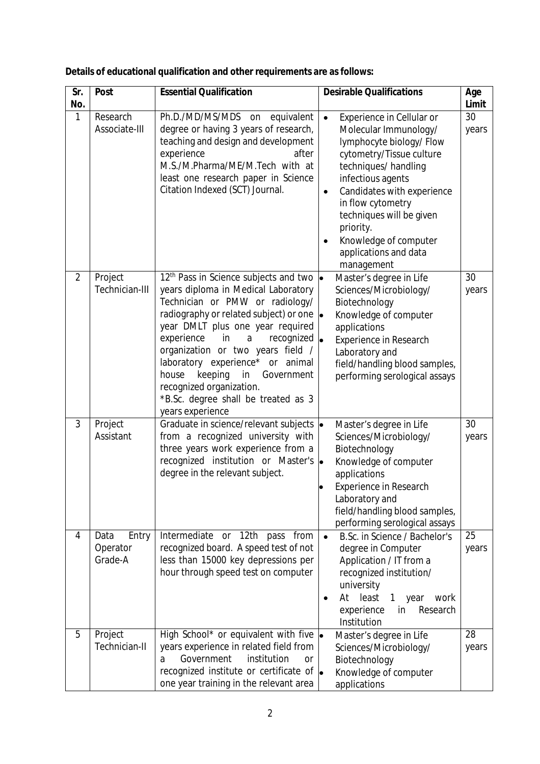| Sr.<br>No.     | <b>Post</b>                          | <b>Essential Qualification</b>                                                                                                                                                                                                                                                                                                                                                                                                                                               | <b>Desirable Qualifications</b>                                                                                                                                                                                                                                                                                                                          | Age<br>Limit |
|----------------|--------------------------------------|------------------------------------------------------------------------------------------------------------------------------------------------------------------------------------------------------------------------------------------------------------------------------------------------------------------------------------------------------------------------------------------------------------------------------------------------------------------------------|----------------------------------------------------------------------------------------------------------------------------------------------------------------------------------------------------------------------------------------------------------------------------------------------------------------------------------------------------------|--------------|
| 1              | Research<br>Associate-III            | Ph.D./MD/MS/MDS on<br>equivalent<br>degree or having 3 years of research,<br>teaching and design and development<br>experience<br>after<br>M.S./M.Pharma/ME/M.Tech with at<br>least one research paper in Science<br>Citation Indexed (SCT) Journal.                                                                                                                                                                                                                         | $\bullet$<br>Experience in Cellular or<br>Molecular Immunology/<br>lymphocyte biology/Flow<br>cytometry/Tissue culture<br>techniques/handling<br>infectious agents<br>Candidates with experience<br>$\bullet$<br>in flow cytometry<br>techniques will be given<br>priority.<br>Knowledge of computer<br>$\bullet$<br>applications and data<br>management | 30<br>years  |
| $\overline{2}$ | Project<br>Technician-III            | 12 <sup>th</sup> Pass in Science subjects and two<br>years diploma in Medical Laboratory<br>Technician or PMW or radiology/<br>radiography or related subject) or one $\bullet$<br>year DMLT plus one year required<br>recognized $\bullet$<br>experience<br>in<br>a<br>organization or two years field /<br>laboratory experience* or animal<br>keeping<br>in<br>house<br>Government<br>recognized organization.<br>*B.Sc. degree shall be treated as 3<br>years experience | Master's degree in Life<br>Sciences/Microbiology/<br>Biotechnology<br>Knowledge of computer<br>applications<br>Experience in Research<br>Laboratory and<br>field/handling blood samples,<br>performing serological assays                                                                                                                                | 30<br>years  |
| 3              | Project<br>Assistant                 | Graduate in science/relevant subjects  .<br>from a recognized university with<br>three years work experience from a<br>recognized institution or Master's  .<br>degree in the relevant subject.                                                                                                                                                                                                                                                                              | Master's degree in Life<br>Sciences/Microbiology/<br>Biotechnology<br>Knowledge of computer<br>applications<br><b>Experience in Research</b><br>Laboratory and<br>field/handling blood samples,<br>performing serological assays                                                                                                                         | 30<br>years  |
| 4              | Data<br>Entry<br>Operator<br>Grade-A | Intermediate or 12th pass from<br>recognized board. A speed test of not<br>less than 15000 key depressions per<br>hour through speed test on computer                                                                                                                                                                                                                                                                                                                        | B.Sc. in Science / Bachelor's<br>$\bullet$<br>degree in Computer<br>Application / IT from a<br>recognized institution/<br>university<br>At<br>least<br>year<br>$\mathbf{1}$<br>work<br>experience<br>Research<br>in<br>Institution                                                                                                                       | 25<br>years  |
| 5              | Project<br>Technician-II             | High School* or equivalent with five  .<br>years experience in related field from<br>Government<br>institution<br><b>or</b><br>a<br>recognized institute or certificate of $\bullet$<br>one year training in the relevant area                                                                                                                                                                                                                                               | Master's degree in Life<br>Sciences/Microbiology/<br>Biotechnology<br>Knowledge of computer<br>applications                                                                                                                                                                                                                                              | 28<br>years  |

| Details of educational qualification and other requirements are as follows: |  |
|-----------------------------------------------------------------------------|--|
|-----------------------------------------------------------------------------|--|